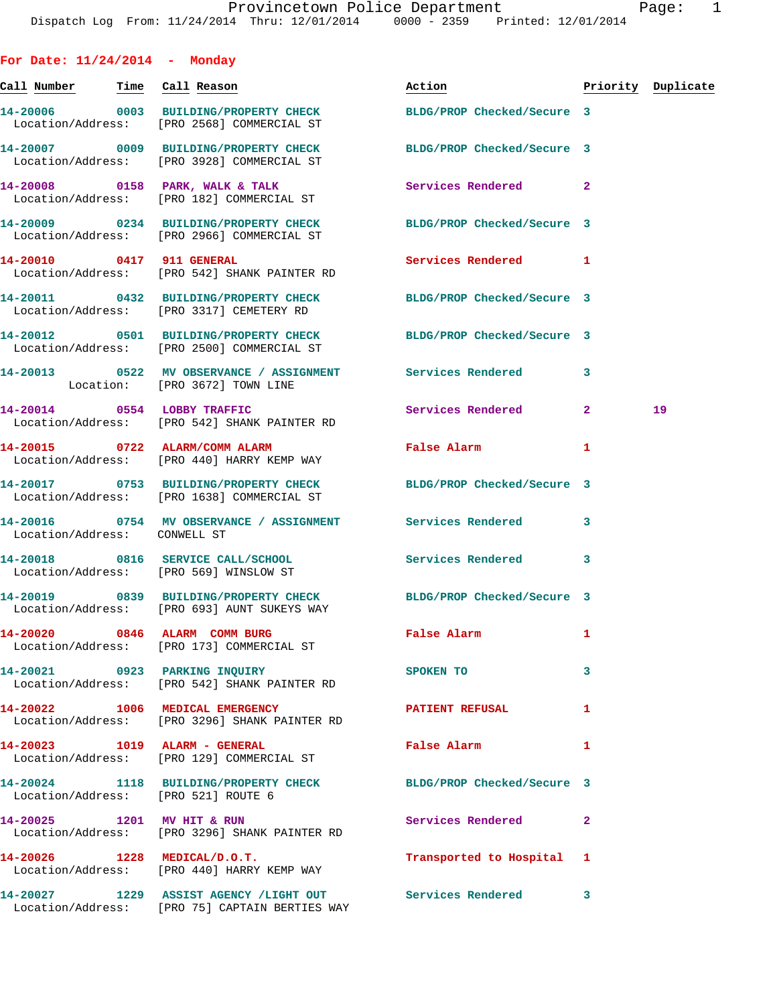| For Date: $11/24/2014$ - Monday     |                                                                                                                 |                                                     |              |                    |
|-------------------------------------|-----------------------------------------------------------------------------------------------------------------|-----------------------------------------------------|--------------|--------------------|
| Call Number Time Call Reason        |                                                                                                                 | Action                                              |              | Priority Duplicate |
|                                     | 14-20006 0003 BUILDING/PROPERTY CHECK BLDG/PROP Checked/Secure 3<br>Location/Address: [PRO 2568] COMMERCIAL ST  |                                                     |              |                    |
|                                     | 14-20007 0009 BUILDING/PROPERTY CHECK BLDG/PROP Checked/Secure 3<br>Location/Address: [PRO 3928] COMMERCIAL ST  |                                                     |              |                    |
|                                     | 14-20008 0158 PARK, WALK & TALK<br>Location/Address: [PRO 182] COMMERCIAL ST                                    | Services Rendered 2                                 |              |                    |
|                                     | 14-20009 0234 BUILDING/PROPERTY CHECK BLDG/PROP Checked/Secure 3<br>Location/Address: [PRO 2966] COMMERCIAL ST  |                                                     |              |                    |
|                                     | 14-20010 0417 911 GENERAL<br>Location/Address: [PRO 542] SHANK PAINTER RD                                       | Services Rendered 1                                 |              |                    |
|                                     | 14-20011 0432 BUILDING/PROPERTY CHECK BLDG/PROP Checked/Secure 3<br>Location/Address: [PRO 3317] CEMETERY RD    |                                                     |              |                    |
|                                     | 14-20012 0501 BUILDING/PROPERTY CHECK BLDG/PROP Checked/Secure 3<br>Location/Address: [PRO 2500] COMMERCIAL ST  |                                                     |              |                    |
|                                     | 14-20013 0522 MV OBSERVANCE / ASSIGNMENT Services Rendered<br>Location: [PRO 3672] TOWN LINE                    |                                                     | 3            |                    |
|                                     | 14-20014 0554 LOBBY TRAFFIC<br>Location/Address: [PRO 542] SHANK PAINTER RD                                     | Services Rendered                                   | $\mathbf{2}$ | 19                 |
|                                     | 14-20015 0722 ALARM/COMM ALARM<br>Location/Address: [PRO 440] HARRY KEMP WAY                                    | False Alarm                                         | 1            |                    |
|                                     | 14-20017 0753 BUILDING/PROPERTY CHECK BLDG/PROP Checked/Secure 3<br>Location/Address: [PRO 1638] COMMERCIAL ST  |                                                     |              |                    |
| Location/Address: CONWELL ST        | 14-20016 0754 MV OBSERVANCE / ASSIGNMENT Services Rendered                                                      |                                                     | 3            |                    |
|                                     | 14-20018 0816 SERVICE CALL/SCHOOL<br>Location/Address: [PRO 569] WINSLOW ST                                     | Services Rendered                                   | 3            |                    |
|                                     | 14-20019 0839 BUILDING/PROPERTY CHECK BLDG/PROP Checked/Secure 3<br>Location/Address: [PRO 693] AUNT SUKEYS WAY |                                                     |              |                    |
|                                     | 14-20020 0846 ALARM COMM BURG<br>Location/Address: [PRO 173] COMMERCIAL ST                                      | False Alarm                                         | 1            |                    |
|                                     | 14-20021 0923 PARKING INQUIRY<br>Location/Address: [PRO 542] SHANK PAINTER RD                                   | SPOKEN TO                                           | 3            |                    |
|                                     | 14-20022 1006 MEDICAL EMERGENCY<br>Location/Address: [PRO 3296] SHANK PAINTER RD                                | <b>PATIENT REFUSAL</b>                              | 1            |                    |
|                                     | 14-20023 1019 ALARM - GENERAL<br>Location/Address: [PRO 129] COMMERCIAL ST                                      | False Alarm <b>Exercise Service Service Service</b> | 1            |                    |
| Location/Address: [PRO 521] ROUTE 6 | 14-20024 1118 BUILDING/PROPERTY CHECK BLDG/PROP Checked/Secure 3                                                |                                                     |              |                    |
|                                     | 14-20025 1201 MV HIT & RUN<br>Location/Address: [PRO 3296] SHANK PAINTER RD                                     | Services Rendered                                   | $\mathbf{2}$ |                    |
|                                     | 14-20026 1228 MEDICAL/D.O.T.<br>Location/Address: [PRO 440] HARRY KEMP WAY                                      | Transported to Hospital                             | 1            |                    |
|                                     | 14-20027 1229 ASSIST AGENCY /LIGHT OUT Services Rendered<br>Location/Address: [PRO 75] CAPTAIN BERTIES WAY      |                                                     | 3            |                    |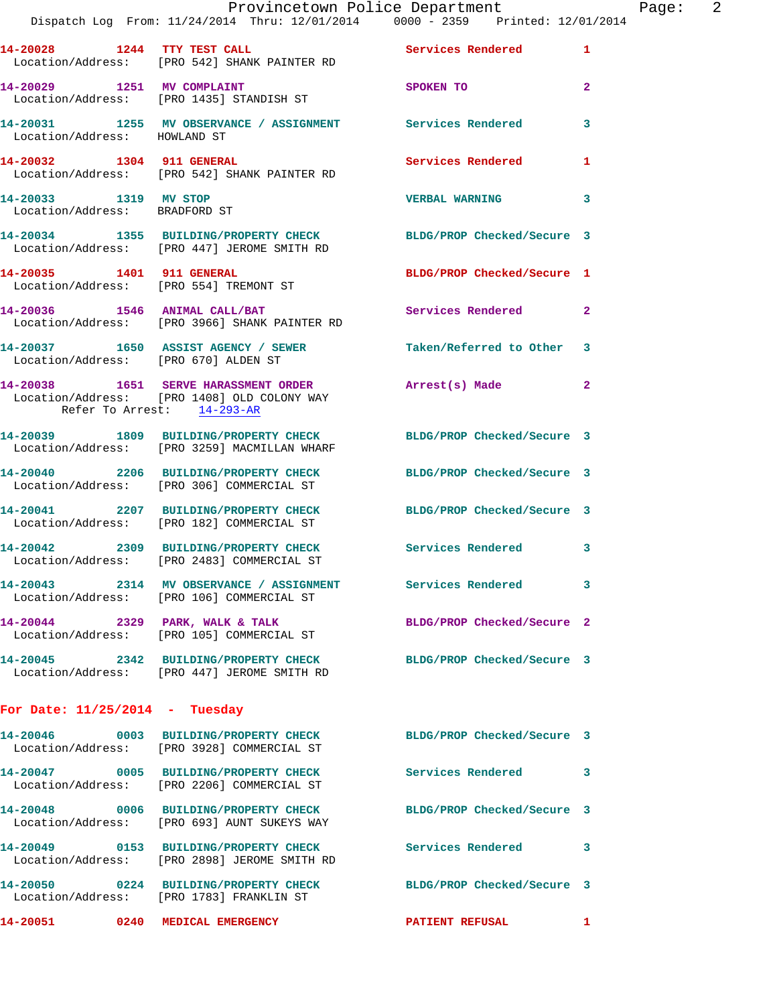|                                                        | Dispatch Log From: 11/24/2014 Thru: 12/01/2014 0000 - 2359 Printed: 12/01/2014                                   | Provincetown Police Department Page: 2 |                |
|--------------------------------------------------------|------------------------------------------------------------------------------------------------------------------|----------------------------------------|----------------|
|                                                        |                                                                                                                  |                                        |                |
|                                                        | 14-20028 1244 TTY TEST CALL Services Rendered 1<br>Location/Address: [PRO 542] SHANK PAINTER RD                  |                                        |                |
|                                                        | 14-20029 1251 MV COMPLAINT SPOKEN TO<br>Location/Address: [PRO 1435] STANDISH ST                                 |                                        | $\overline{2}$ |
|                                                        | 14-20031 1255 MV OBSERVANCE / ASSIGNMENT Services Rendered 3<br>Location/Address: HOWLAND ST                     |                                        |                |
|                                                        | 14-20032 1304 911 GENERAL Services Rendered 1<br>Location/Address: [PRO 542] SHANK PAINTER RD                    |                                        |                |
| 14-20033 1319 MV STOP<br>Location/Address: BRADFORD ST |                                                                                                                  | <b>VERBAL WARNING</b>                  | 3              |
|                                                        | 14-20034 1355 BUILDING/PROPERTY CHECK BLDG/PROP Checked/Secure 3<br>Location/Address: [PRO 447] JEROME SMITH RD  |                                        |                |
|                                                        | 14-20035 1401 911 GENERAL<br>Location/Address: [PRO 554] TREMONT ST                                              | BLDG/PROP Checked/Secure 1             |                |
|                                                        | 14-20036 1546 ANIMAL CALL/BAT<br>Location/Address: [PRO 3966] SHANK PAINTER RD                                   | Services Rendered                      | $\mathbf{2}$   |
| Location/Address: [PRO 670] ALDEN ST                   | 14-20037 1650 ASSIST AGENCY / SEWER Taken/Referred to Other 3                                                    |                                        |                |
| Refer To Arrest: 14-293-AR                             | 14-20038 1651 SERVE HARASSMENT ORDER Arrest(s) Made 2<br>Location/Address: [PRO 1408] OLD COLONY WAY             |                                        |                |
|                                                        | 14-20039 1809 BUILDING/PROPERTY CHECK BLDG/PROP Checked/Secure 3<br>Location/Address: [PRO 3259] MACMILLAN WHARF |                                        |                |
|                                                        | 14-20040 2206 BUILDING/PROPERTY CHECK BLDG/PROP Checked/Secure 3<br>Location/Address: [PRO 306] COMMERCIAL ST    |                                        |                |
|                                                        | 14-20041 2207 BUILDING/PROPERTY CHECK BLDG/PROP Checked/Secure 3<br>Location/Address: [PRO 182] COMMERCIAL ST    |                                        |                |
|                                                        | 14-20042 2309 BUILDING/PROPERTY CHECK Services Rendered 3<br>Location/Address: [PRO 2483] COMMERCIAL ST          |                                        |                |
|                                                        | 14-20043 2314 MV OBSERVANCE / ASSIGNMENT Services Rendered<br>Location/Address: [PRO 106] COMMERCIAL ST          |                                        | 3              |
|                                                        | 14-20044 2329 PARK, WALK & TALK<br>Location/Address: [PRO 105] COMMERCIAL ST                                     | BLDG/PROP Checked/Secure 2             |                |
|                                                        | 14-20045 2342 BUILDING/PROPERTY CHECK BLDG/PROP Checked/Secure 3<br>Location/Address: [PRO 447] JEROME SMITH RD  |                                        |                |
| For Date: $11/25/2014$ - Tuesday                       |                                                                                                                  |                                        |                |
|                                                        | 14-20046 0003 BUILDING/PROPERTY CHECK BLDG/PROP Checked/Secure 3<br>Location/Address: [PRO 3928] COMMERCIAL ST   |                                        |                |
|                                                        | 14-20047 0005 BUILDING/PROPERTY CHECK<br>Location/Address: [PRO 2206] COMMERCIAL ST                              | Services Rendered                      | 3              |
|                                                        | 14-20048 0006 BUILDING/PROPERTY CHECK BLDG/PROP Checked/Secure 3<br>Location/Address: [PRO 693] AUNT SUKEYS WAY  |                                        |                |
|                                                        | 14-20049 0153 BUILDING/PROPERTY CHECK<br>Location/Address: [PRO 2898] JEROME SMITH RD                            | <b>Services Rendered</b>               | 3              |
|                                                        | 14-20050 0224 BUILDING/PROPERTY CHECK BLDG/PROP Checked/Secure 3<br>Location/Address: [PRO 1783] FRANKLIN ST     |                                        |                |
|                                                        | 14-20051 0240 MEDICAL EMERGENCY <b>PATIENT REFUSAL</b> 1                                                         |                                        |                |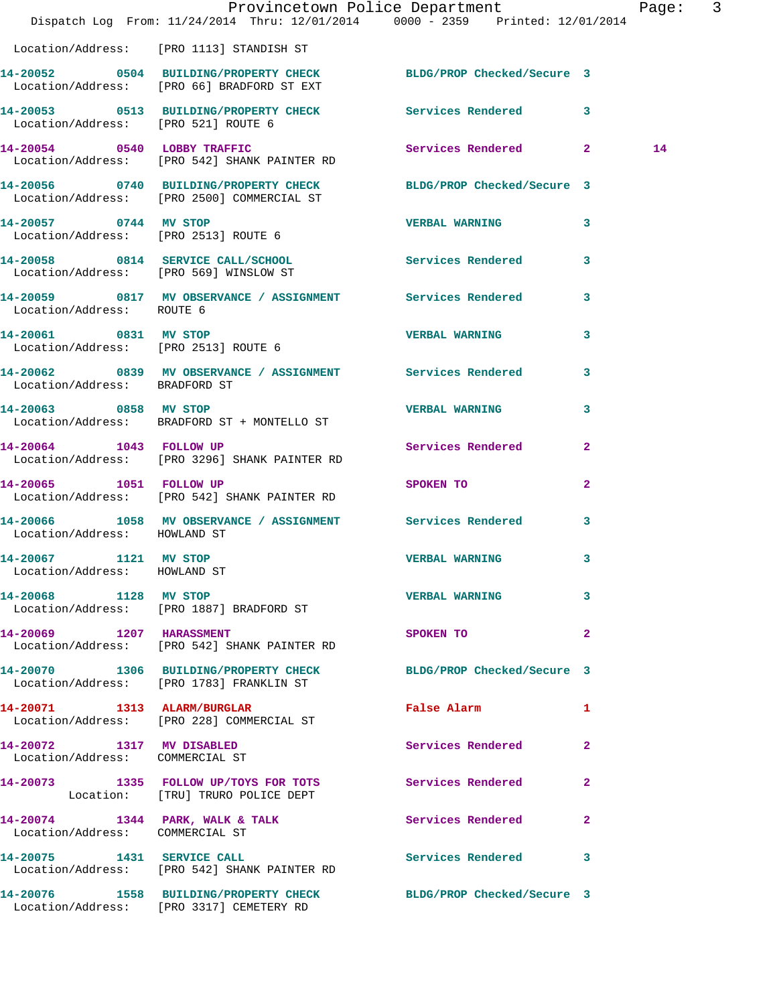|                                                               | Dispatch Log From: 11/24/2014 Thru: 12/01/2014 0000 - 2359 Printed: 12/01/2014                                 | Provincetown Police Department              |                         | Page: 3 |  |
|---------------------------------------------------------------|----------------------------------------------------------------------------------------------------------------|---------------------------------------------|-------------------------|---------|--|
|                                                               | Location/Address: [PRO 1113] STANDISH ST                                                                       |                                             |                         |         |  |
|                                                               | 14-20052 0504 BUILDING/PROPERTY CHECK BLDG/PROP Checked/Secure 3<br>Location/Address: [PRO 66] BRADFORD ST EXT |                                             |                         |         |  |
| Location/Address: [PRO 521] ROUTE 6                           | 14-20053 0513 BUILDING/PROPERTY CHECK Services Rendered 3                                                      |                                             |                         |         |  |
|                                                               | 14-20054 0540 LOBBY TRAFFIC<br>Location/Address: [PRO 542] SHANK PAINTER RD                                    | Services Rendered 2                         |                         | 14      |  |
|                                                               | 14-20056 0740 BUILDING/PROPERTY CHECK BLDG/PROP Checked/Secure 3<br>Location/Address: [PRO 2500] COMMERCIAL ST |                                             |                         |         |  |
| 14-20057 0744 MV STOP                                         | Location/Address: [PRO 2513] ROUTE 6                                                                           | <b>VERBAL WARNING</b>                       | $\mathbf{3}$            |         |  |
|                                                               | 14-20058 0814 SERVICE CALL/SCHOOL<br>Location/Address: [PRO 569] WINSLOW ST                                    | Services Rendered                           | $\overline{\mathbf{3}}$ |         |  |
| Location/Address: ROUTE 6                                     | 14-20059 0817 MV OBSERVANCE / ASSIGNMENT Services Rendered                                                     |                                             | $\mathbf{3}$            |         |  |
| 14-20061 0831 MV STOP<br>Location/Address: [PRO 2513] ROUTE 6 |                                                                                                                | <b>VERBAL WARNING</b>                       | $\mathbf{3}$            |         |  |
| Location/Address: BRADFORD ST                                 | 14-20062 0839 MV OBSERVANCE / ASSIGNMENT Services Rendered 3                                                   |                                             |                         |         |  |
| 14-20063 0858 MV STOP                                         | Location/Address: BRADFORD ST + MONTELLO ST                                                                    | <b>VERBAL WARNING</b>                       | 3                       |         |  |
| 14-20064 1043 FOLLOW UP                                       | Location/Address: [PRO 3296] SHANK PAINTER RD                                                                  | Services Rendered                           | $\mathbf{2}$            |         |  |
| 14-20065 1051 FOLLOW UP                                       | Location/Address: [PRO 542] SHANK PAINTER RD                                                                   | SPOKEN TO DESCRIPTION OF REAL PROPERTY.     | $\mathbf{2}$            |         |  |
| Location/Address: HOWLAND ST                                  | 14-20066 1058 MV OBSERVANCE / ASSIGNMENT Services Rendered                                                     |                                             | 3                       |         |  |
| 14-20067 1121 MV STOP<br>Location/Address: HOWLAND ST         |                                                                                                                | <b>VERBAL WARNING</b>                       | $\mathbf{3}$            |         |  |
| 14-20068 1128 MV STOP                                         | Location/Address: [PRO 1887] BRADFORD ST                                                                       | <b>VERBAL WARNING</b>                       | 3                       |         |  |
| 14-20069 1207 HARASSMENT                                      | Location/Address: [PRO 542] SHANK PAINTER RD                                                                   | SPOKEN TO                                   | $\mathbf{2}$            |         |  |
|                                                               | 14-20070 1306 BUILDING/PROPERTY CHECK BLDG/PROP Checked/Secure 3<br>Location/Address: [PRO 1783] FRANKLIN ST   |                                             |                         |         |  |
|                                                               | 14-20071 1313 ALARM/BURGLAR<br>Location/Address: [PRO 228] COMMERCIAL ST                                       | False Alarm <b>Exercise Service Service</b> | $\mathbf{1}$            |         |  |
| 14-20072 1317 MV DISABLED<br>Location/Address: COMMERCIAL ST  |                                                                                                                | Services Rendered 2                         |                         |         |  |
|                                                               | 14-20073 1335 FOLLOW UP/TOYS FOR TOTS Services Rendered 2<br>Location: [TRU] TRURO POLICE DEPT                 |                                             |                         |         |  |
| Location/Address: COMMERCIAL ST                               | 14-20074 1344 PARK, WALK & TALK                                                                                | Services Rendered                           | $\mathbf{2}$            |         |  |
|                                                               | 14-20075 1431 SERVICE CALL<br>Location/Address: [PRO 542] SHANK PAINTER RD                                     | Services Rendered 3                         |                         |         |  |
|                                                               | 14-20076 1558 BUILDING/PROPERTY CHECK BLDG/PROP Checked/Secure 3<br>Location/Address: [PRO 3317] CEMETERY RD   |                                             |                         |         |  |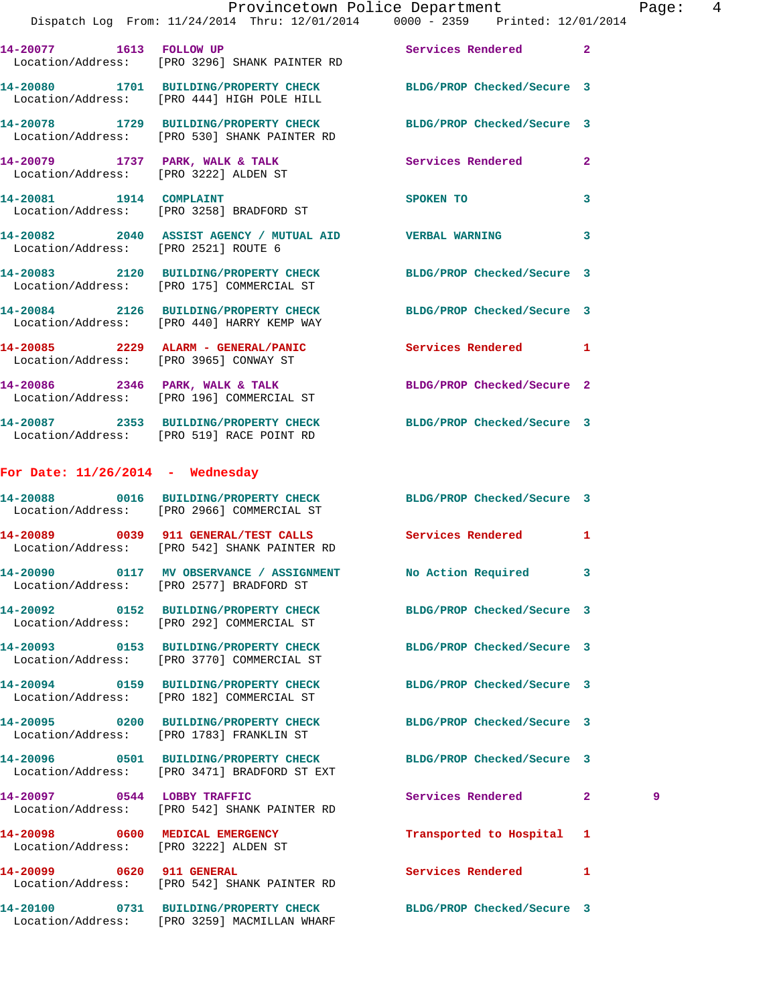|                                                                          | Provincetown Police Department<br>Dispatch Log From: 11/24/2014 Thru: 12/01/2014 0000 - 2359 Printed: 12/01/2014 |                            | Pag                 |  |
|--------------------------------------------------------------------------|------------------------------------------------------------------------------------------------------------------|----------------------------|---------------------|--|
|                                                                          | 14-20077 1613 FOLLOW UP Services Rendered<br>Location/Address: [PRO 3296] SHANK PAINTER RD                       |                            | $\mathbf{2}$        |  |
|                                                                          | 14-20080 1701 BUILDING/PROPERTY CHECK BLDG/PROP Checked/Secure 3<br>Location/Address: [PRO 444] HIGH POLE HILL   |                            |                     |  |
|                                                                          | 14-20078 1729 BUILDING/PROPERTY CHECK BLDG/PROP Checked/Secure 3<br>Location/Address: [PRO 530] SHANK PAINTER RD |                            |                     |  |
|                                                                          | 14-20079 1737 PARK, WALK & TALK Services Rendered<br>Location/Address: [PRO 3222] ALDEN ST                       |                            | $\overline{2}$      |  |
|                                                                          | 14-20081 1914 COMPLAINT<br>Location/Address: [PRO 3258] BRADFORD ST                                              | SPOKEN TO                  | 3                   |  |
| Location/Address: [PRO 2521] ROUTE 6                                     | 14-20082 2040 ASSIST AGENCY / MUTUAL AID VERBAL WARNING                                                          |                            | 3                   |  |
|                                                                          | 14-20083 2120 BUILDING/PROPERTY CHECK BLDG/PROP Checked/Secure 3<br>Location/Address: [PRO 175] COMMERCIAL ST    |                            |                     |  |
|                                                                          | 14-20084 2126 BUILDING/PROPERTY CHECK BLDG/PROP Checked/Secure 3<br>Location/Address: [PRO 440] HARRY KEMP WAY   |                            |                     |  |
|                                                                          | 14-20085 2229 ALARM - GENERAL/PANIC Services Rendered<br>Location/Address: [PRO 3965] CONWAY ST                  |                            | 1                   |  |
|                                                                          | $14-20086$ 2346 PARK, WALK & TALK<br>Location/Address: [PRO 196] COMMERCIAL ST                                   | BLDG/PROP Checked/Secure 2 |                     |  |
|                                                                          | 14-20087 2353 BUILDING/PROPERTY CHECK BLDG/PROP Checked/Secure 3<br>Location/Address: [PRO 519] RACE POINT RD    |                            |                     |  |
| For Date: $11/26/2014$ - Wednesday                                       |                                                                                                                  |                            |                     |  |
|                                                                          | 14-20088 0016 BUILDING/PROPERTY CHECK BLDG/PROP Checked/Secure 3<br>Location/Address: [PRO 2966] COMMERCIAL ST   |                            |                     |  |
|                                                                          | 14-20089 0039 911 GENERAL/TEST CALLS Services Rendered<br>Location/Address: [PRO 542] SHANK PAINTER RD           |                            | 1                   |  |
|                                                                          | 14-20090 0117 MV OBSERVANCE / ASSIGNMENT<br>Location/Address: [PRO 2577] BRADFORD ST                             | No Action Required         | 3                   |  |
|                                                                          | 14-20092 0152 BUILDING/PROPERTY CHECK BLDG/PROP Checked/Secure 3<br>Location/Address: [PRO 292] COMMERCIAL ST    |                            |                     |  |
|                                                                          | 14-20093 0153 BUILDING/PROPERTY CHECK<br>Location/Address: [PRO 3770] COMMERCIAL ST                              | BLDG/PROP Checked/Secure 3 |                     |  |
|                                                                          | 14-20094 0159 BUILDING/PROPERTY CHECK<br>Location/Address: [PRO 182] COMMERCIAL ST                               | BLDG/PROP Checked/Secure 3 |                     |  |
|                                                                          | 14-20095 0200 BUILDING/PROPERTY CHECK<br>Location/Address: [PRO 1783] FRANKLIN ST                                | BLDG/PROP Checked/Secure 3 |                     |  |
|                                                                          | 14-20096 0501 BUILDING/PROPERTY CHECK BLDG/PROP Checked/Secure 3<br>Location/Address: [PRO 3471] BRADFORD ST EXT |                            |                     |  |
|                                                                          | 14-20097 0544 LOBBY TRAFFIC<br>Location/Address: [PRO 542] SHANK PAINTER RD                                      | Services Rendered          | 2 <sup>1</sup><br>9 |  |
| 14-20098 0600 MEDICAL EMERGENCY<br>Location/Address: [PRO 3222] ALDEN ST |                                                                                                                  | Transported to Hospital    | 1                   |  |
| 14-20099 0620 911 GENERAL                                                | Location/Address: [PRO 542] SHANK PAINTER RD                                                                     | Services Rendered          | $\mathbf{1}$        |  |
|                                                                          | 14-20100 0731 BUILDING/PROPERTY CHECK                                                                            | BLDG/PROP Checked/Secure 3 |                     |  |

Location/Address: [PRO 3259] MACMILLAN WHARF

Page: 4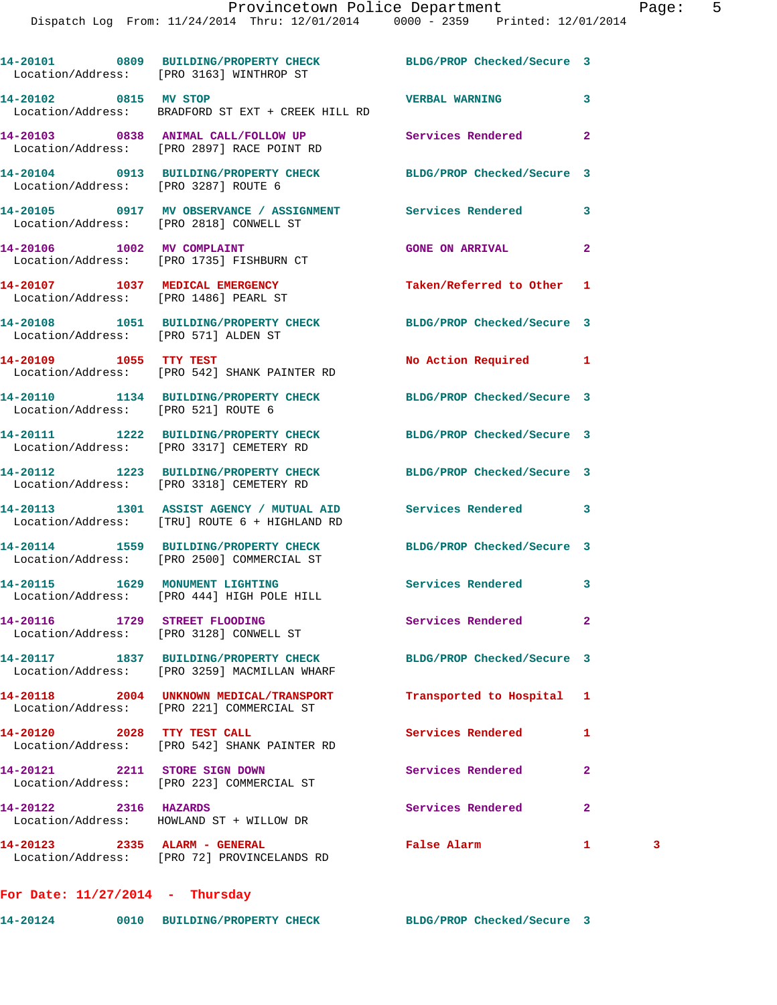|                                      | 14-20101 0809 BUILDING/PROPERTY CHECK BLDG/PROP Checked/Secure 3<br>Location/Address: [PRO 3163] WINTHROP ST |                            |              |   |
|--------------------------------------|--------------------------------------------------------------------------------------------------------------|----------------------------|--------------|---|
| 14-20102 0815 MV STOP                | Location/Address: BRADFORD ST EXT + CREEK HILL RD                                                            | <b>VERBAL WARNING</b>      | 3            |   |
|                                      | 14-20103 0838 ANIMAL CALL/FOLLOW UP<br>Location/Address: [PRO 2897] RACE POINT RD                            | <b>Services Rendered</b>   | $\mathbf{2}$ |   |
| Location/Address: [PRO 3287] ROUTE 6 | 14-20104 0913 BUILDING/PROPERTY CHECK BLDG/PROP Checked/Secure 3                                             |                            |              |   |
|                                      | 14-20105 0917 MV OBSERVANCE / ASSIGNMENT Services Rendered<br>Location/Address: [PRO 2818] CONWELL ST        |                            | 3            |   |
|                                      | 14-20106 1002 MV COMPLAINT<br>Location/Address: [PRO 1735] FISHBURN CT                                       | <b>GONE ON ARRIVAL</b>     | $\mathbf{2}$ |   |
|                                      | 14-20107 1037 MEDICAL EMERGENCY<br>Location/Address: [PRO 1486] PEARL ST                                     | Taken/Referred to Other 1  |              |   |
| Location/Address: [PRO 571] ALDEN ST | 14-20108 1051 BUILDING/PROPERTY CHECK BLDG/PROP Checked/Secure 3                                             |                            |              |   |
| 14-20109 1055 TTY TEST               | Location/Address: [PRO 542] SHANK PAINTER RD                                                                 | No Action Required 1       |              |   |
| Location/Address: [PRO 521] ROUTE 6  | 14-20110 1134 BUILDING/PROPERTY CHECK BLDG/PROP Checked/Secure 3                                             |                            |              |   |
|                                      | 14-20111 1222 BUILDING/PROPERTY CHECK<br>Location/Address: [PRO 3317] CEMETERY RD                            | BLDG/PROP Checked/Secure 3 |              |   |
|                                      | 14-20112 1223 BUILDING/PROPERTY CHECK BLDG/PROP Checked/Secure 3<br>Location/Address: [PRO 3318] CEMETERY RD |                            |              |   |
|                                      | 14-20113 1301 ASSIST AGENCY / MUTUAL AID Services Rendered<br>Location/Address: [TRU] ROUTE 6 + HIGHLAND RD  |                            | 3            |   |
|                                      | 14-20114 1559 BUILDING/PROPERTY CHECK<br>Location/Address: [PRO 2500] COMMERCIAL ST                          | BLDG/PROP Checked/Secure 3 |              |   |
|                                      | 14-20115 1629 MONUMENT LIGHTING<br>Location/Address: [PRO 444] HIGH POLE HILL                                | Services Rendered          | 3            |   |
|                                      | 14-20116 1729 STREET FLOODING<br>Location/Address: [PRO 3128] CONWELL ST                                     | Services Rendered          | $\mathbf{2}$ |   |
|                                      | 14-20117 1837 BUILDING/PROPERTY CHECK<br>Location/Address: [PRO 3259] MACMILLAN WHARF                        | BLDG/PROP Checked/Secure 3 |              |   |
|                                      | 14-20118 2004 UNKNOWN MEDICAL/TRANSPORT<br>Location/Address: [PRO 221] COMMERCIAL ST                         | Transported to Hospital    | 1            |   |
| 14-20120 2028 TTY TEST CALL          | Location/Address: [PRO 542] SHANK PAINTER RD                                                                 | Services Rendered          | 1            |   |
| 14-20121 2211 STORE SIGN DOWN        | Location/Address: [PRO 223] COMMERCIAL ST                                                                    | Services Rendered          | $\mathbf{2}$ |   |
| 14-20122 2316 HAZARDS                | Location/Address: HOWLAND ST + WILLOW DR                                                                     | Services Rendered          | $\mathbf{2}$ |   |
|                                      | 14-20123 2335 ALARM - GENERAL<br>Location/Address: [PRO 72] PROVINCELANDS RD                                 | False Alarm                | 1            | 3 |

**For Date: 11/27/2014 - Thursday**

**14-20124 0010 BUILDING/PROPERTY CHECK BLDG/PROP Checked/Secure 3**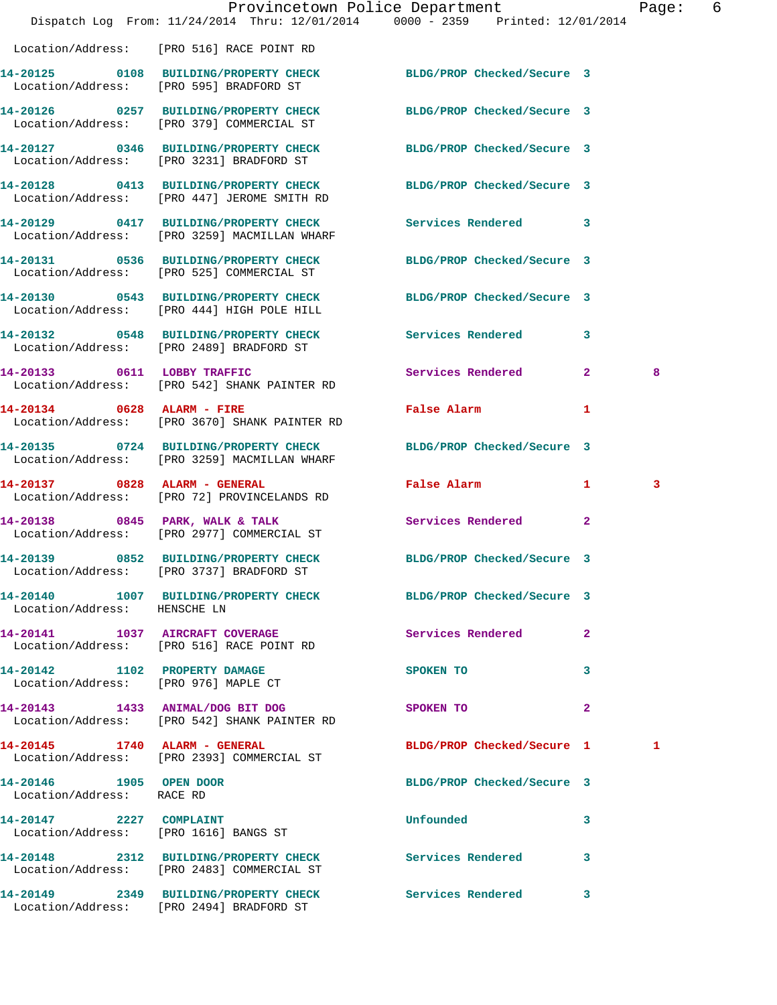|                                                      |                                                                                       | Provincetown Police Department<br>Dispatch Log From: 11/24/2014 Thru: 12/01/2014 0000 - 2359 Printed: 12/01/2014 | 6<br>Page: |
|------------------------------------------------------|---------------------------------------------------------------------------------------|------------------------------------------------------------------------------------------------------------------|------------|
|                                                      | Location/Address: [PRO 516] RACE POINT RD                                             |                                                                                                                  |            |
|                                                      | 14-20125 0108 BUILDING/PROPERTY CHECK<br>Location/Address: [PRO 595] BRADFORD ST      | BLDG/PROP Checked/Secure 3                                                                                       |            |
|                                                      | 14-20126 0257 BUILDING/PROPERTY CHECK<br>Location/Address: [PRO 379] COMMERCIAL ST    | BLDG/PROP Checked/Secure 3                                                                                       |            |
|                                                      | 14-20127 0346 BUILDING/PROPERTY CHECK<br>Location/Address: [PRO 3231] BRADFORD ST     | BLDG/PROP Checked/Secure 3                                                                                       |            |
|                                                      | 14-20128 0413 BUILDING/PROPERTY CHECK<br>Location/Address: [PRO 447] JEROME SMITH RD  | BLDG/PROP Checked/Secure 3                                                                                       |            |
|                                                      | 14-20129 0417 BUILDING/PROPERTY CHECK<br>Location/Address: [PRO 3259] MACMILLAN WHARF | Services Rendered 3                                                                                              |            |
|                                                      | 14-20131 0536 BUILDING/PROPERTY CHECK<br>Location/Address: [PRO 525] COMMERCIAL ST    | BLDG/PROP Checked/Secure 3                                                                                       |            |
|                                                      | 14-20130 0543 BUILDING/PROPERTY CHECK<br>Location/Address: [PRO 444] HIGH POLE HILL   | BLDG/PROP Checked/Secure 3                                                                                       |            |
|                                                      | 14-20132 0548 BUILDING/PROPERTY CHECK<br>Location/Address: [PRO 2489] BRADFORD ST     | <b>Services Rendered</b><br>3                                                                                    |            |
| 14-20133 0611 LOBBY TRAFFIC                          | Location/Address: [PRO 542] SHANK PAINTER RD                                          | Services Rendered<br>$\overline{2}$                                                                              | 8          |
|                                                      | 14-20134 0628 ALARM - FIRE<br>Location/Address: [PRO 3670] SHANK PAINTER RD           | False Alarm<br>1                                                                                                 |            |
|                                                      | 14-20135 0724 BUILDING/PROPERTY CHECK<br>Location/Address: [PRO 3259] MACMILLAN WHARF | BLDG/PROP Checked/Secure 3                                                                                       |            |
|                                                      | 14-20137 0828 ALARM - GENERAL<br>Location/Address: [PRO 72] PROVINCELANDS RD          | False Alarm<br>$\mathbf{1}$                                                                                      | 3          |
|                                                      | 14-20138 0845 PARK, WALK & TALK<br>Location/Address: [PRO 2977] COMMERCIAL ST         | $\overline{2}$<br>Services Rendered                                                                              |            |
|                                                      | Location/Address: [PRO 3737] BRADFORD ST                                              | 14-20139 0852 BUILDING/PROPERTY CHECK BLDG/PROP Checked/Secure 3                                                 |            |
| Location/Address: HENSCHE LN                         |                                                                                       | 14-20140 1007 BUILDING/PROPERTY CHECK BLDG/PROP Checked/Secure 3                                                 |            |
|                                                      | 14-20141 1037 AIRCRAFT COVERAGE<br>Location/Address: [PRO 516] RACE POINT RD          | Services Rendered<br>$\mathbf{2}$                                                                                |            |
| Location/Address: [PRO 976] MAPLE CT                 | 14-20142 1102 PROPERTY DAMAGE                                                         | 3<br>SPOKEN TO                                                                                                   |            |
|                                                      | 14-20143 1433 ANIMAL/DOG BIT DOG<br>Location/Address: [PRO 542] SHANK PAINTER RD      | $\mathbf{2}$<br>SPOKEN TO                                                                                        |            |
| 14-20145 1740 ALARM - GENERAL                        | Location/Address: [PRO 2393] COMMERCIAL ST                                            | BLDG/PROP Checked/Secure 1                                                                                       | 1          |
| 14-20146 1905 OPEN DOOR<br>Location/Address: RACE RD |                                                                                       | BLDG/PROP Checked/Secure 3                                                                                       |            |
| 14-20147 2227 COMPLAINT                              | Location/Address: [PRO 1616] BANGS ST                                                 | Unfounded<br>3                                                                                                   |            |
|                                                      | Location/Address: [PRO 2483] COMMERCIAL ST                                            | 14-20148 2312 BUILDING/PROPERTY CHECK Services Rendered 3                                                        |            |
|                                                      | 14-20149 2349 BUILDING/PROPERTY CHECK<br>Location/Address: [PRO 2494] BRADFORD ST     | <b>Services Rendered</b><br>3                                                                                    |            |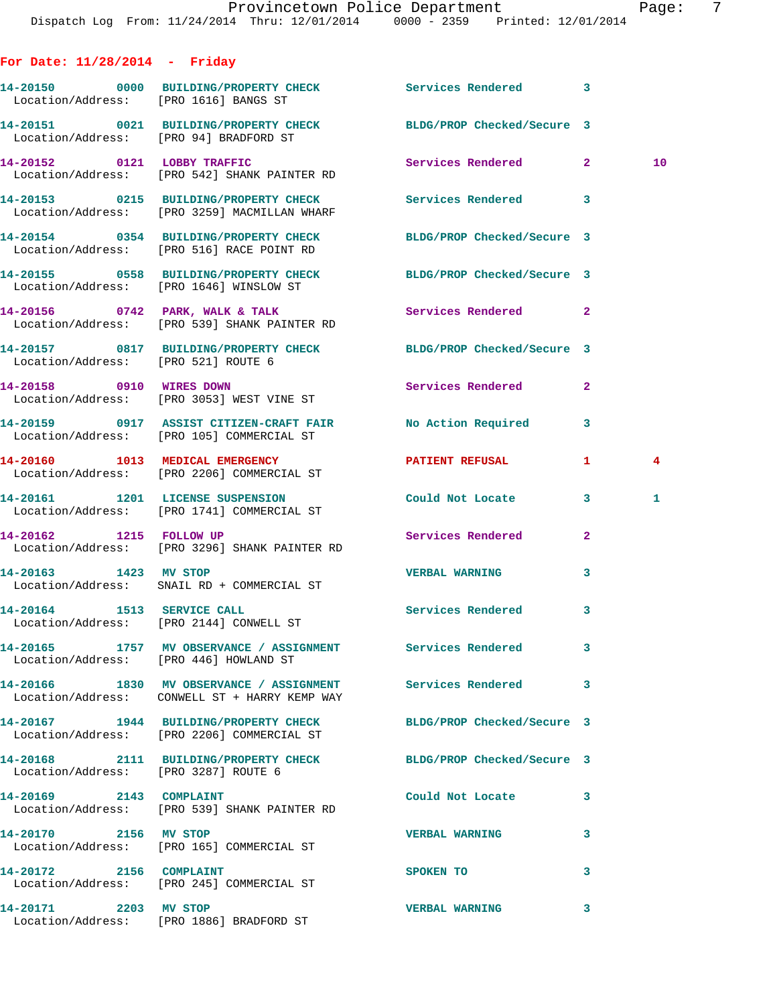## **For Date: 11/28/2014 - Friday**

|                                      | 14-20150 0000 BUILDING/PROPERTY CHECK Services Rendered 3<br>Location/Address: [PRO 1616] BANGS ST             |                       |              |    |
|--------------------------------------|----------------------------------------------------------------------------------------------------------------|-----------------------|--------------|----|
|                                      | 14-20151 0021 BUILDING/PROPERTY CHECK BLDG/PROP Checked/Secure 3<br>Location/Address: [PRO 94] BRADFORD ST     |                       |              |    |
|                                      | 14-20152 0121 LOBBY TRAFFIC<br>Location/Address: [PRO 542] SHANK PAINTER RD                                    | Services Rendered 2   |              | 10 |
|                                      | 14-20153 0215 BUILDING/PROPERTY CHECK Services Rendered 3<br>Location/Address: [PRO 3259] MACMILLAN WHARF      |                       |              |    |
|                                      | 14-20154 0354 BUILDING/PROPERTY CHECK BLDG/PROP Checked/Secure 3<br>Location/Address: [PRO 516] RACE POINT RD  |                       |              |    |
|                                      | 14-20155 0558 BUILDING/PROPERTY CHECK BLDG/PROP Checked/Secure 3<br>Location/Address: [PRO 1646] WINSLOW ST    |                       |              |    |
|                                      | 14-20156 0742 PARK, WALK & TALK Services Rendered 2<br>Location/Address: [PRO 539] SHANK PAINTER RD            |                       |              |    |
| Location/Address: [PRO 521] ROUTE 6  | 14-20157 0817 BUILDING/PROPERTY CHECK BLDG/PROP Checked/Secure 3                                               |                       |              |    |
|                                      | 14-20158 0910 WIRES DOWN<br>Location/Address: [PRO 3053] WEST VINE ST                                          | Services Rendered     | $\mathbf{2}$ |    |
|                                      | 14-20159 0917 ASSIST CITIZEN-CRAFT FAIR No Action Required 3<br>Location/Address: [PRO 105] COMMERCIAL ST      |                       |              |    |
|                                      | 14-20160 1013 MEDICAL EMERGENCY<br>Location/Address: [PRO 2206] COMMERCIAL ST                                  | PATIENT REFUSAL       | 1            | 4  |
|                                      | 14-20161 1201 LICENSE SUSPENSION Could Not Locate 3<br>Location/Address: [PRO 1741] COMMERCIAL ST              |                       |              | 1  |
|                                      | 14-20162 1215 FOLLOW UP Services Rendered<br>Location/Address: [PRO 3296] SHANK PAINTER RD                     |                       | $\mathbf{2}$ |    |
| 14-20163 1423 MV STOP                | Location/Address: SNAIL RD + COMMERCIAL ST                                                                     | <b>VERBAL WARNING</b> | 3            |    |
|                                      | 14-20164 1513 SERVICE CALL<br>Location/Address: [PRO 2144] CONWELL ST                                          | Services Rendered 3   |              |    |
|                                      | 14-20165 1757 MV OBSERVANCE / ASSIGNMENT Services Rendered<br>Location/Address: [PRO 446] HOWLAND ST           |                       |              |    |
|                                      | 14-20166 1830 MV OBSERVANCE / ASSIGNMENT Services Rendered<br>Location/Address: CONWELL ST + HARRY KEMP WAY    |                       | 3            |    |
|                                      | 14-20167 1944 BUILDING/PROPERTY CHECK BLDG/PROP Checked/Secure 3<br>Location/Address: [PRO 2206] COMMERCIAL ST |                       |              |    |
| Location/Address: [PRO 3287] ROUTE 6 | 14-20168 2111 BUILDING/PROPERTY CHECK BLDG/PROP Checked/Secure 3                                               |                       |              |    |
| 14-20169 2143 COMPLAINT              | Location/Address: [PRO 539] SHANK PAINTER RD                                                                   | Could Not Locate      | 3            |    |
| 14-20170 2156 MV STOP                | Location/Address: [PRO 165] COMMERCIAL ST                                                                      | <b>VERBAL WARNING</b> | 3            |    |
| 14-20172 2156 COMPLAINT              | Location/Address: [PRO 245] COMMERCIAL ST                                                                      | <b>SPOKEN TO</b>      | 3            |    |
| 14-20171 2203 MV STOP                | Location/Address: [PRO 1886] BRADFORD ST                                                                       | <b>VERBAL WARNING</b> | 3            |    |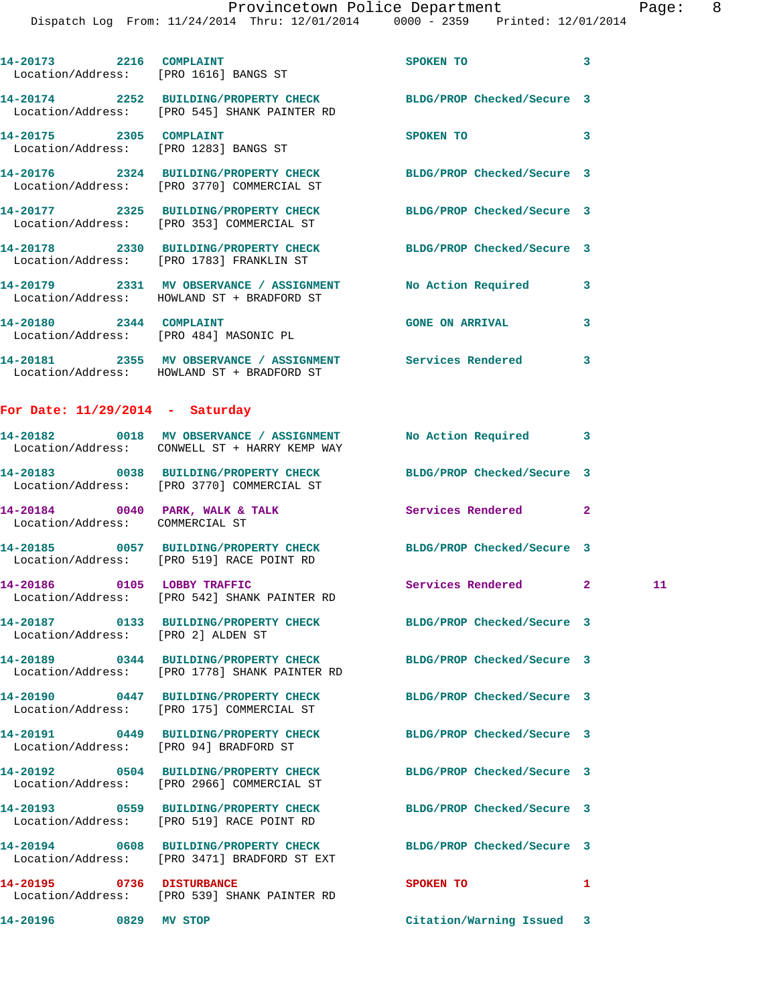|                                    |                                                                                        | Provincetown Police Department<br>Dispatch Log From: 11/24/2014 Thru: 12/01/2014 0000 - 2359 Printed: 12/01/2014 | Page: 8                    |
|------------------------------------|----------------------------------------------------------------------------------------|------------------------------------------------------------------------------------------------------------------|----------------------------|
|                                    | 14-20173 2216 COMPLAINT<br>Location/Address: [PRO 1616] BANGS ST                       | $\overline{\phantom{a}}$ 3<br>SPOKEN TO                                                                          |                            |
|                                    | Location/Address: [PRO 545] SHANK PAINTER RD                                           | 14-20174 2252 BUILDING/PROPERTY CHECK BLDG/PROP Checked/Secure 3                                                 |                            |
|                                    | 14-20175 2305 COMPLAINT<br>Location/Address: [PRO 1283] BANGS ST                       | SPOKEN TO                                                                                                        | $\overline{\phantom{a}}$ 3 |
|                                    | Location/Address: [PRO 3770] COMMERCIAL ST                                             | 14-20176 2324 BUILDING/PROPERTY CHECK BLDG/PROP Checked/Secure 3                                                 |                            |
|                                    | Location/Address: [PRO 353] COMMERCIAL ST                                              | 14-20177 2325 BUILDING/PROPERTY CHECK BLDG/PROP Checked/Secure 3                                                 |                            |
|                                    | Location/Address: [PRO 1783] FRANKLIN ST                                               | 14-20178 2330 BUILDING/PROPERTY CHECK BLDG/PROP Checked/Secure 3                                                 |                            |
|                                    | Location/Address: HOWLAND ST + BRADFORD ST                                             | 14-20179 2331 MV OBSERVANCE / ASSIGNMENT No Action Required 3                                                    |                            |
| 14-20180 2344 COMPLAINT            | Location/Address: [PRO 484] MASONIC PL                                                 | <b>GONE ON ARRIVAL</b>                                                                                           | $\mathbf{3}$               |
|                                    | Location/Address: HOWLAND ST + BRADFORD ST                                             | 14-20181 2355 MV OBSERVANCE / ASSIGNMENT Services Rendered 3                                                     |                            |
| For Date: $11/29/2014$ - Saturday  |                                                                                        |                                                                                                                  |                            |
|                                    | Location/Address: CONWELL ST + HARRY KEMP WAY                                          | 14-20182 0018 MV OBSERVANCE / ASSIGNMENT No Action Required 3                                                    |                            |
|                                    | Location/Address: [PRO 3770] COMMERCIAL ST                                             | 14-20183 0038 BUILDING/PROPERTY CHECK BLDG/PROP Checked/Secure 3                                                 |                            |
| Location/Address: COMMERCIAL ST    |                                                                                        | 14-20184 0040 PARK, WALK & TALK Services Rendered 2                                                              |                            |
|                                    | Location/Address: [PRO 519] RACE POINT RD                                              | 14-20185 0057 BUILDING/PROPERTY CHECK BLDG/PROP Checked/Secure 3                                                 |                            |
|                                    | 14-20186 0105 LOBBY TRAFFIC<br>Location/Address: [PRO 542] SHANK PAINTER RD            | Services Rendered 2                                                                                              | 11                         |
| Location/Address: [PRO 2] ALDEN ST |                                                                                        | 14-20187 0133 BUILDING/PROPERTY CHECK BLDG/PROP Checked/Secure 3                                                 |                            |
|                                    | 14-20189 0344 BUILDING/PROPERTY CHECK<br>Location/Address: [PRO 1778] SHANK PAINTER RD | BLDG/PROP Checked/Secure 3                                                                                       |                            |
|                                    | 14-20190 0447 BUILDING/PROPERTY CHECK<br>Location/Address: [PRO 175] COMMERCIAL ST     | BLDG/PROP Checked/Secure 3                                                                                       |                            |
|                                    | 14-20191 0449 BUILDING/PROPERTY CHECK<br>Location/Address: [PRO 94] BRADFORD ST        | BLDG/PROP Checked/Secure 3                                                                                       |                            |
|                                    | Location/Address: [PRO 2966] COMMERCIAL ST                                             | 14-20192 0504 BUILDING/PROPERTY CHECK BLDG/PROP Checked/Secure 3                                                 |                            |
|                                    | 14-20193 0559 BUILDING/PROPERTY CHECK<br>Location/Address: [PRO 519] RACE POINT RD     | BLDG/PROP Checked/Secure 3                                                                                       |                            |
|                                    | 14-20194 0608 BUILDING/PROPERTY CHECK<br>Location/Address: [PRO 3471] BRADFORD ST EXT  | BLDG/PROP Checked/Secure 3                                                                                       |                            |
|                                    | 14-20195 0736 DISTURBANCE<br>Location/Address: [PRO 539] SHANK PAINTER RD              | SPOKEN TO                                                                                                        | 1                          |
| 14-20196 0829 MV STOP              |                                                                                        | Citation/Warning Issued 3                                                                                        |                            |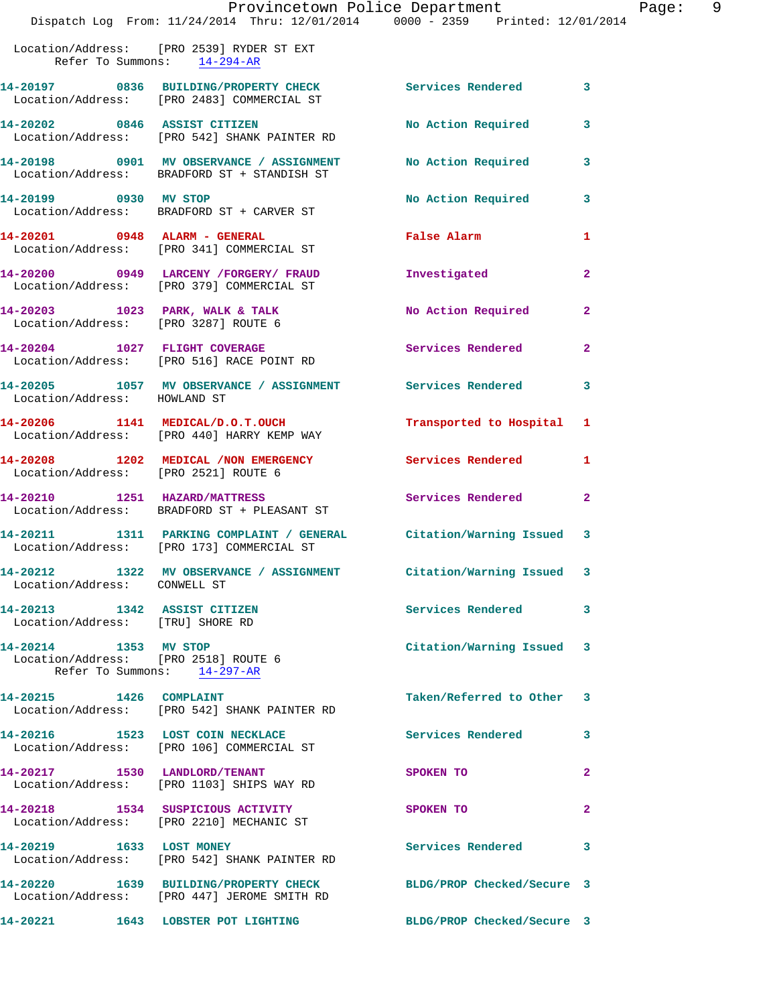|                                                                  | Provincetown Police Department<br>Dispatch Log From: 11/24/2014 Thru: 12/01/2014 0000 - 2359 Printed: 12/01/2014 |                            |                |
|------------------------------------------------------------------|------------------------------------------------------------------------------------------------------------------|----------------------------|----------------|
|                                                                  | Location/Address: [PRO 2539] RYDER ST EXT<br>Refer To Summons: $14-294-AR$                                       |                            |                |
|                                                                  | 14-20197 0836 BUILDING/PROPERTY CHECK Services Rendered<br>Location/Address: [PRO 2483] COMMERCIAL ST            |                            | 3              |
|                                                                  | 14-20202 0846 ASSIST CITIZEN<br>Location/Address: [PRO 542] SHANK PAINTER RD                                     | No Action Required         | 3              |
|                                                                  | 14-20198 0901 MV OBSERVANCE / ASSIGNMENT<br>Location/Address: BRADFORD ST + STANDISH ST                          | No Action Required         | 3              |
| 14-20199 0930 MV STOP                                            | Location/Address: BRADFORD ST + CARVER ST                                                                        | No Action Required         | 3              |
|                                                                  | 14-20201 0948 ALARM - GENERAL<br>Location/Address: [PRO 341] COMMERCIAL ST                                       | <b>False Alarm</b>         | 1              |
|                                                                  | 14-20200 0949 LARCENY /FORGERY/ FRAUD<br>Location/Address: [PRO 379] COMMERCIAL ST                               | Investigated               | $\mathbf{2}$   |
|                                                                  | 14-20203 1023 PARK, WALK & TALK<br>Location/Address: [PRO 3287] ROUTE 6                                          | No Action Required         | $\overline{a}$ |
|                                                                  | 14-20204 1027 FLIGHT COVERAGE<br>Location/Address: [PRO 516] RACE POINT RD                                       | Services Rendered          | $\mathbf{2}$   |
| Location/Address: HOWLAND ST                                     | 14-20205 1057 MV OBSERVANCE / ASSIGNMENT Services Rendered                                                       |                            | 3              |
|                                                                  | 14-20206 1141 MEDICAL/D.O.T.OUCH<br>Location/Address: [PRO 440] HARRY KEMP WAY                                   | Transported to Hospital    | 1              |
| Location/Address: [PRO 2521] ROUTE 6                             | 14-20208 1202 MEDICAL / NON EMERGENCY                                                                            | Services Rendered          | 1              |
|                                                                  | 14-20210 1251 HAZARD/MATTRESS<br>Location/Address: BRADFORD ST + PLEASANT ST                                     | Services Rendered          | 2              |
|                                                                  | 14-20211 1311 PARKING COMPLAINT / GENERAL Citation/Warning Issued<br>Location/Address: [PRO 173] COMMERCIAL ST   |                            | 3              |
| Location/Address: CONWELL ST                                     | 14-20212 1322 MV OBSERVANCE / ASSIGNMENT Citation/Warning Issued 3                                               |                            |                |
| 14-20213 1342 ASSIST CITIZEN<br>Location/Address: [TRU] SHORE RD |                                                                                                                  | <b>Services Rendered</b>   | 3              |
| 14-20214 1353 MV STOP<br>Location/Address: [PRO 2518] ROUTE 6    | Refer To Summons: 14-297-AR                                                                                      | Citation/Warning Issued 3  |                |
| 14-20215 1426 COMPLAINT                                          | Location/Address: [PRO 542] SHANK PAINTER RD                                                                     | Taken/Referred to Other    | 3              |
|                                                                  | 14-20216 1523 LOST COIN NECKLACE<br>Location/Address: [PRO 106] COMMERCIAL ST                                    | Services Rendered          | 3              |
|                                                                  | 14-20217 1530 LANDLORD/TENANT<br>Location/Address: [PRO 1103] SHIPS WAY RD                                       | SPOKEN TO                  | $\mathbf{2}$   |
|                                                                  | 14-20218 1534 SUSPICIOUS ACTIVITY<br>Location/Address: [PRO 2210] MECHANIC ST                                    | SPOKEN TO                  | $\mathbf{2}$   |
| 14-20219 1633 LOST MONEY                                         | Location/Address: [PRO 542] SHANK PAINTER RD                                                                     | Services Rendered          | 3              |
|                                                                  | 14-20220 1639 BUILDING/PROPERTY CHECK<br>Location/Address: [PRO 447] JEROME SMITH RD                             | BLDG/PROP Checked/Secure 3 |                |
|                                                                  | 14-20221 1643 LOBSTER POT LIGHTING                                                                               | BLDG/PROP Checked/Secure 3 |                |

Page: 9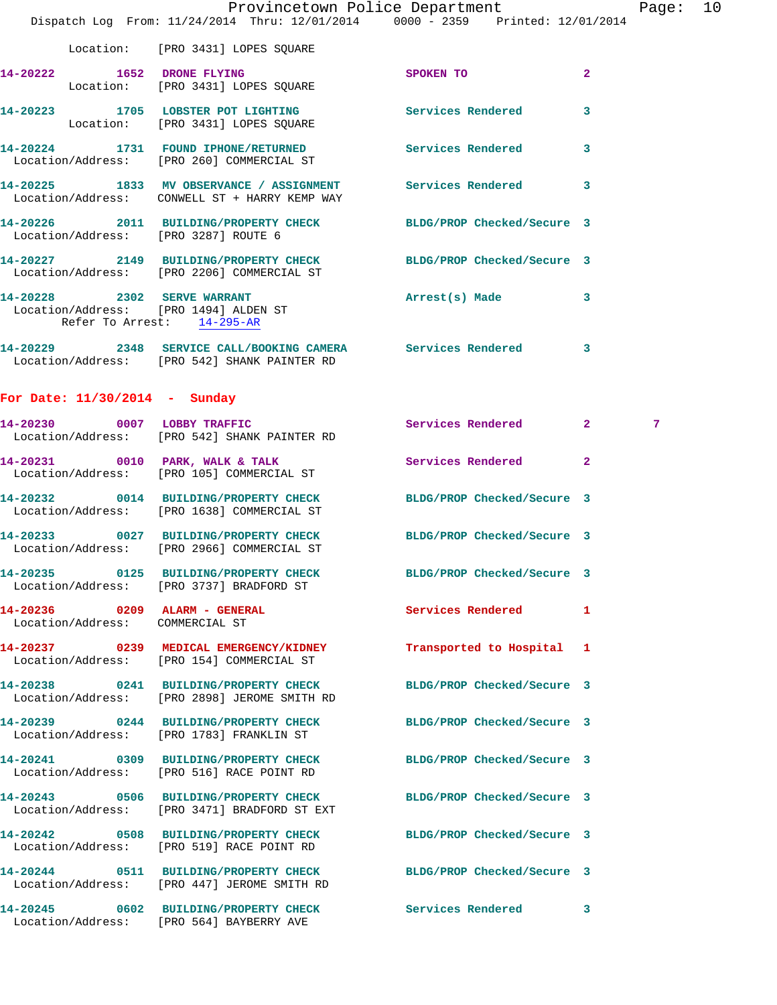|                                 | Dispatch Log From: 11/24/2014 Thru: 12/01/2014 0000 - 2359 Printed: 12/01/2014                                  | Provincetown Police Department                                                  |              | Page: 10 |  |
|---------------------------------|-----------------------------------------------------------------------------------------------------------------|---------------------------------------------------------------------------------|--------------|----------|--|
|                                 | Location: [PRO 3431] LOPES SQUARE                                                                               |                                                                                 |              |          |  |
|                                 | 14-20222 1652 DRONE FLYING<br>Location: [PRO 3431] LOPES SQUARE                                                 | SPOKEN TO AND TO A STRUCK TO A THING OF THE STRUCK OF THE STRUCK OF THE STRUCK. | $\mathbf{2}$ |          |  |
|                                 | 14-20223 1705 LOBSTER POT LIGHTING Services Rendered 3<br>Location: [PRO 3431] LOPES SQUARE                     |                                                                                 |              |          |  |
|                                 | 14-20224 1731 FOUND IPHONE/RETURNED Services Rendered 3<br>Location/Address: [PRO 260] COMMERCIAL ST            |                                                                                 |              |          |  |
|                                 | 14-20225 1833 MV OBSERVANCE / ASSIGNMENT Services Rendered 3<br>Location/Address: CONWELL ST + HARRY KEMP WAY   |                                                                                 |              |          |  |
|                                 | 14-20226 2011 BUILDING/PROPERTY CHECK BLDG/PROP Checked/Secure 3<br>Location/Address: [PRO 3287] ROUTE 6        |                                                                                 |              |          |  |
|                                 | 14-20227 2149 BUILDING/PROPERTY CHECK BLDG/PROP Checked/Secure 3<br>Location/Address: [PRO 2206] COMMERCIAL ST  |                                                                                 |              |          |  |
|                                 | 14-20228 2302 SERVE WARRANT<br>Location/Address: [PRO 1494] ALDEN ST<br>Refer To Arrest: 14-295-AR              | Arrest(s) Made 3                                                                |              |          |  |
|                                 | 14-20229 2348 SERVICE CALL/BOOKING CAMERA Services Rendered 3<br>Location/Address: [PRO 542] SHANK PAINTER RD   |                                                                                 |              |          |  |
| For Date: $11/30/2014$ - Sunday |                                                                                                                 |                                                                                 |              |          |  |
|                                 | 14-20230 0007 LOBBY TRAFFIC<br>Location/Address: [PRO 542] SHANK PAINTER RD                                     | Services Rendered 2                                                             |              | 7        |  |
|                                 | 14-20231 0010 PARK, WALK & TALK Services Rendered 2<br>Location/Address: [PRO 105] COMMERCIAL ST                |                                                                                 |              |          |  |
|                                 | 14-20232 0014 BUILDING/PROPERTY CHECK<br>Location/Address: [PRO 1638] COMMERCIAL ST                             | BLDG/PROP Checked/Secure 3                                                      |              |          |  |
|                                 | 14-20233 0027 BUILDING/PROPERTY CHECK BLDG/PROP Checked/Secure 3<br>Location/Address: [PRO 2966] COMMERCIAL ST  |                                                                                 |              |          |  |
|                                 | 14-20235 0125 BUILDING/PROPERTY CHECK BLDG/PROP Checked/Secure 3<br>Location/Address: [PRO 3737] BRADFORD ST    |                                                                                 |              |          |  |
| Location/Address: COMMERCIAL ST | 14-20236 0209 ALARM - GENERAL                                                                                   | Services Rendered 1                                                             |              |          |  |
|                                 | 14-20237 0239 MEDICAL EMERGENCY/KIDNEY<br>Location/Address: [PRO 154] COMMERCIAL ST                             | Transported to Hospital 1                                                       |              |          |  |
|                                 | 14-20238 0241 BUILDING/PROPERTY CHECK<br>Location/Address: [PRO 2898] JEROME SMITH RD                           | BLDG/PROP Checked/Secure 3                                                      |              |          |  |
|                                 | 14-20239 0244 BUILDING/PROPERTY CHECK<br>Location/Address: [PRO 1783] FRANKLIN ST                               | BLDG/PROP Checked/Secure 3                                                      |              |          |  |
|                                 | 14-20241 0309 BUILDING/PROPERTY CHECK BLDG/PROP Checked/Secure 3<br>Location/Address: [PRO 516] RACE POINT RD   |                                                                                 |              |          |  |
|                                 | 14-20243 0506 BUILDING/PROPERTY CHECK<br>Location/Address: [PRO 3471] BRADFORD ST EXT                           | BLDG/PROP Checked/Secure 3                                                      |              |          |  |
|                                 | 14-20242 0508 BUILDING/PROPERTY CHECK BLDG/PROP Checked/Secure 3<br>Location/Address: [PRO 519] RACE POINT RD   |                                                                                 |              |          |  |
|                                 | 14-20244 0511 BUILDING/PROPERTY CHECK BLDG/PROP Checked/Secure 3<br>Location/Address: [PRO 447] JEROME SMITH RD |                                                                                 |              |          |  |
|                                 | 14-20245 0602 BUILDING/PROPERTY CHECK Services Rendered 3                                                       |                                                                                 |              |          |  |

Location/Address: [PRO 564] BAYBERRY AVE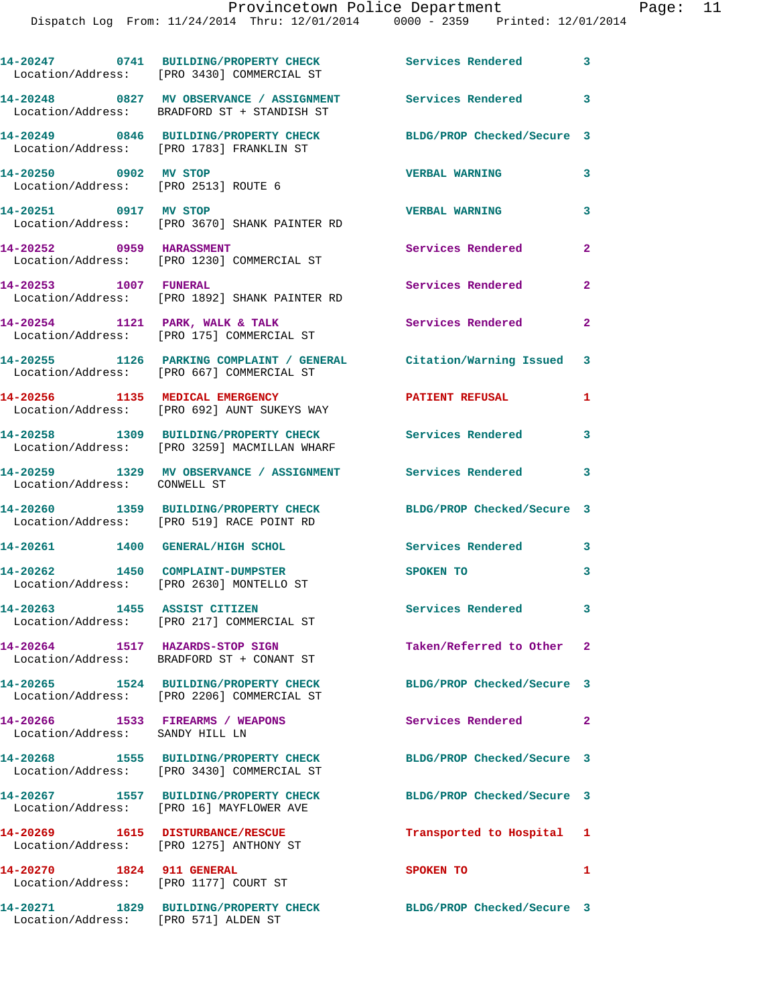Dispatch Log From: 11/24/2014 Thru: 12/01/2014 0000 - 2359 Printed: 12/01/2014

**14-20247 0741 BUILDING/PROPERTY CHECK Services Rendered 3**  Location/Address: [PRO 3430] COMMERCIAL ST **14-20248 0827 MV OBSERVANCE / ASSIGNMENT Services Rendered 3**  Location/Address: BRADFORD ST + STANDISH ST **14-20249 0846 BUILDING/PROPERTY CHECK BLDG/PROP Checked/Secure 3**  Location/Address: [PRO 1783] FRANKLIN ST **14-20250 0902 MV STOP VERBAL WARNING 3**  Location/Address: [PRO 2513] ROUTE 6 **14-20251 0917 MV STOP VERBAL WARNING 3**  Location/Address: [PRO 3670] SHANK PAINTER RD 14-20252 0959 HARASSMENT Services Rendered 2 Location/Address: [PRO 1230] COMMERCIAL ST **14-20253 1007 FUNERAL Services Rendered 2**  Location/Address: [PRO 1892] SHANK PAINTER RD 14-20254 1121 PARK, WALK & TALK **Services Rendered** 2 Location/Address: [PRO 175] COMMERCIAL ST **14-20255 1126 PARKING COMPLAINT / GENERAL Citation/Warning Issued 3**  Location/Address: [PRO 667] COMMERCIAL ST **14-20256 1135 MEDICAL EMERGENCY PATIENT REFUSAL 1**  Location/Address: [PRO 692] AUNT SUKEYS WAY **14-20258 1309 BUILDING/PROPERTY CHECK Services Rendered 3**  Location/Address: [PRO 3259] MACMILLAN WHARF **14-20259 1329 MV OBSERVANCE / ASSIGNMENT Services Rendered 3**  Location/Address: CONWELL ST **14-20260 1359 BUILDING/PROPERTY CHECK BLDG/PROP Checked/Secure 3**  Location/Address: [PRO 519] RACE POINT RD **14-20261 1400 GENERAL/HIGH SCHOL Services Rendered 3 14-20262 1450 COMPLAINT-DUMPSTER SPOKEN TO 3**  Location/Address: [PRO 2630] MONTELLO ST **14-20263 1455 ASSIST CITIZEN Services Rendered 3**  Location/Address: [PRO 217] COMMERCIAL ST **14-20264 1517 HAZARDS-STOP SIGN Taken/Referred to Other 2**  Location/Address: BRADFORD ST + CONANT ST **14-20265 1524 BUILDING/PROPERTY CHECK BLDG/PROP Checked/Secure 3**  Location/Address: [PRO 2206] COMMERCIAL ST **14-20266 1533 FIREARMS / WEAPONS Services Rendered 2**  Location/Address: SANDY HILL LN **14-20268 1555 BUILDING/PROPERTY CHECK BLDG/PROP Checked/Secure 3**  Location/Address: [PRO 3430] COMMERCIAL ST **14-20267 1557 BUILDING/PROPERTY CHECK BLDG/PROP Checked/Secure 3**  Location/Address: [PRO 16] MAYFLOWER AVE **14-20269 1615 DISTURBANCE/RESCUE Transported to Hospital 1**  Location/Address: [PRO 1275] ANTHONY ST **14-20270 1824 911 GENERAL SPOKEN TO 1**  Location/Address: [PRO 1177] COURT ST

Location/Address: [PRO 571] ALDEN ST

**14-20271 1829 BUILDING/PROPERTY CHECK BLDG/PROP Checked/Secure 3**